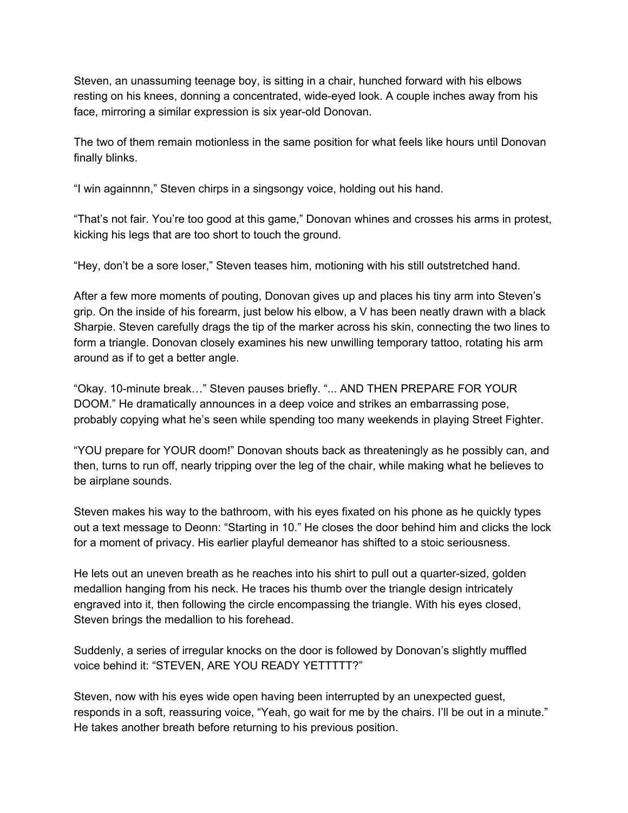Steven, an unassuming teenage boy, is sitting in a chair, hunched forward with his elbows resting on his knees, donning a concentrated, wide-eyed look. A couple inches away from his face, mirroring a similar expression is six year-old Donovan.

The two of them remain motionless in the same position for what feels like hours until Donovan finally blinks.

"I win againnnn," Steven chirps in a singsongy voice, holding out his hand.

"That's not fair. You're too good at this game," Donovan whines and crosses his arms in protest, kicking his legs that are too short to touch the ground.

"Hey, don't be a sore loser," Steven teases him, motioning with his still outstretched hand.

After a few more moments of pouting, Donovan gives up and places his tiny arm into Steven's grip. On the inside of his forearm, just below his elbow, a V has been neatly drawn with a black Sharpie. Steven carefully drags the tip of the marker across his skin, connecting the two lines to form a triangle. Donovan closely examines his new unwilling temporary tattoo, rotating his arm around as if to get a better angle.

"Okay. 10-minute break…" Steven pauses briefly. "... AND THEN PREPARE FOR YOUR DOOM." He dramatically announces in a deep voice and strikes an embarrassing pose, probably copying what he's seen while spending too many weekends in playing Street Fighter.

"YOU prepare for YOUR doom!" Donovan shouts back as threateningly as he possibly can, and then, turns to run off, nearly tripping over the leg of the chair, while making what he believes to be airplane sounds.

Steven makes his way to the bathroom, with his eyes fixated on his phone as he quickly types out a text message to Deonn: "Starting in 10." He closes the door behind him and clicks the lock for a moment of privacy. His earlier playful demeanor has shifted to a stoic seriousness.

He lets out an uneven breath as he reaches into his shirt to pull out a quarter-sized, golden medallion hanging from his neck. He traces his thumb over the triangle design intricately engraved into it, then following the circle encompassing the triangle. With his eyes closed, Steven brings the medallion to his forehead.

Suddenly, a series of irregular knocks on the door is followed by Donovan's slightly muffled voice behind it: "STEVEN, ARE YOU READY YETTTTT?"

Steven, now with his eyes wide open having been interrupted by an unexpected guest, responds in a soft, reassuring voice, "Yeah, go wait for me by the chairs. I'll be out in a minute." He takes another breath before returning to his previous position.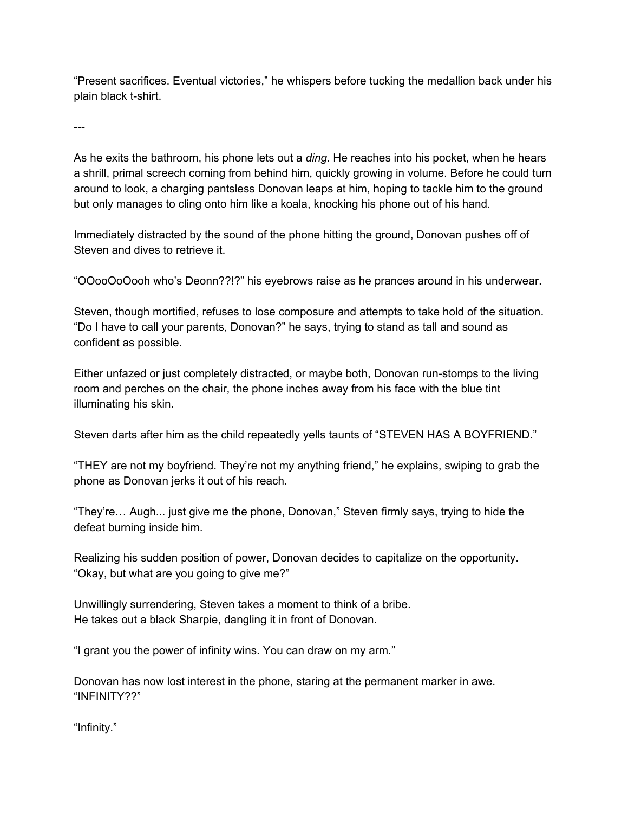"Present sacrifices. Eventual victories," he whispers before tucking the medallion back under his plain black t-shirt.

---

As he exits the bathroom, his phone lets out a *ding*. He reaches into his pocket, when he hears a shrill, primal screech coming from behind him, quickly growing in volume. Before he could turn around to look, a charging pantsless Donovan leaps at him, hoping to tackle him to the ground but only manages to cling onto him like a koala, knocking his phone out of his hand.

Immediately distracted by the sound of the phone hitting the ground, Donovan pushes off of Steven and dives to retrieve it.

"OOooOoOooh who's Deonn??!?" his eyebrows raise as he prances around in his underwear.

Steven, though mortified, refuses to lose composure and attempts to take hold of the situation. "Do I have to call your parents, Donovan?" he says, trying to stand as tall and sound as confident as possible.

Either unfazed or just completely distracted, or maybe both, Donovan run-stomps to the living room and perches on the chair, the phone inches away from his face with the blue tint illuminating his skin.

Steven darts after him as the child repeatedly yells taunts of "STEVEN HAS A BOYFRIEND."

"THEY are not my boyfriend. They're not my anything friend," he explains, swiping to grab the phone as Donovan jerks it out of his reach.

"They're… Augh... just give me the phone, Donovan," Steven firmly says, trying to hide the defeat burning inside him.

Realizing his sudden position of power, Donovan decides to capitalize on the opportunity. "Okay, but what are you going to give me?"

Unwillingly surrendering, Steven takes a moment to think of a bribe. He takes out a black Sharpie, dangling it in front of Donovan.

"I grant you the power of infinity wins. You can draw on my arm."

Donovan has now lost interest in the phone, staring at the permanent marker in awe. "INFINITY??"

"Infinity."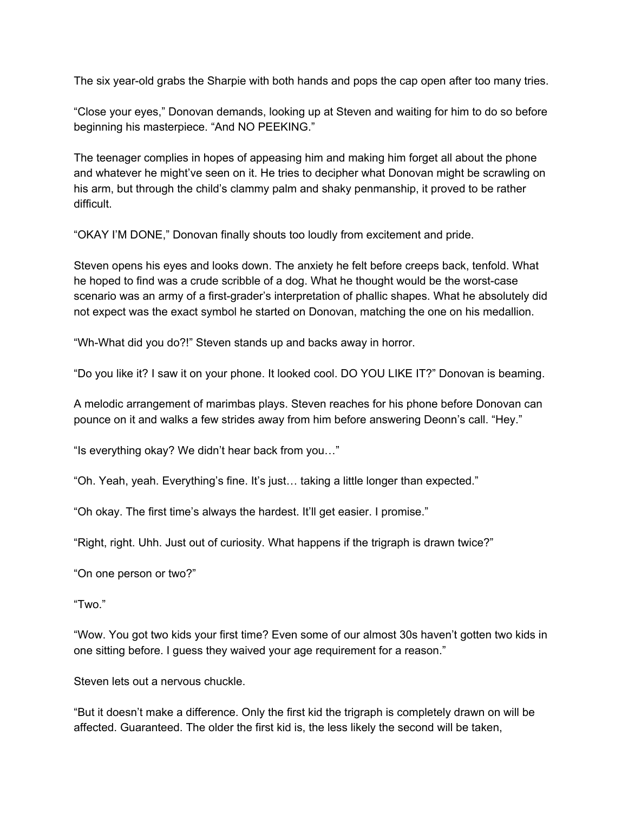The six year-old grabs the Sharpie with both hands and pops the cap open after too many tries.

"Close your eyes," Donovan demands, looking up at Steven and waiting for him to do so before beginning his masterpiece. "And NO PEEKING."

The teenager complies in hopes of appeasing him and making him forget all about the phone and whatever he might've seen on it. He tries to decipher what Donovan might be scrawling on his arm, but through the child's clammy palm and shaky penmanship, it proved to be rather difficult.

"OKAY I'M DONE," Donovan finally shouts too loudly from excitement and pride.

Steven opens his eyes and looks down. The anxiety he felt before creeps back, tenfold. What he hoped to find was a crude scribble of a dog. What he thought would be the worst-case scenario was an army of a first-grader's interpretation of phallic shapes. What he absolutely did not expect was the exact symbol he started on Donovan, matching the one on his medallion.

"Wh-What did you do?!" Steven stands up and backs away in horror.

"Do you like it? I saw it on your phone. It looked cool. DO YOU LIKE IT?" Donovan is beaming.

A melodic arrangement of marimbas plays. Steven reaches for his phone before Donovan can pounce on it and walks a few strides away from him before answering Deonn's call. "Hey."

"Is everything okay? We didn't hear back from you…"

"Oh. Yeah, yeah. Everything's fine. It's just… taking a little longer than expected."

"Oh okay. The first time's always the hardest. It'll get easier. I promise."

"Right, right. Uhh. Just out of curiosity. What happens if the trigraph is drawn twice?"

"On one person or two?"

"Two."

"Wow. You got two kids your first time? Even some of our almost 30s haven't gotten two kids in one sitting before. I guess they waived your age requirement for a reason."

Steven lets out a nervous chuckle.

"But it doesn't make a difference. Only the first kid the trigraph is completely drawn on will be affected. Guaranteed. The older the first kid is, the less likely the second will be taken,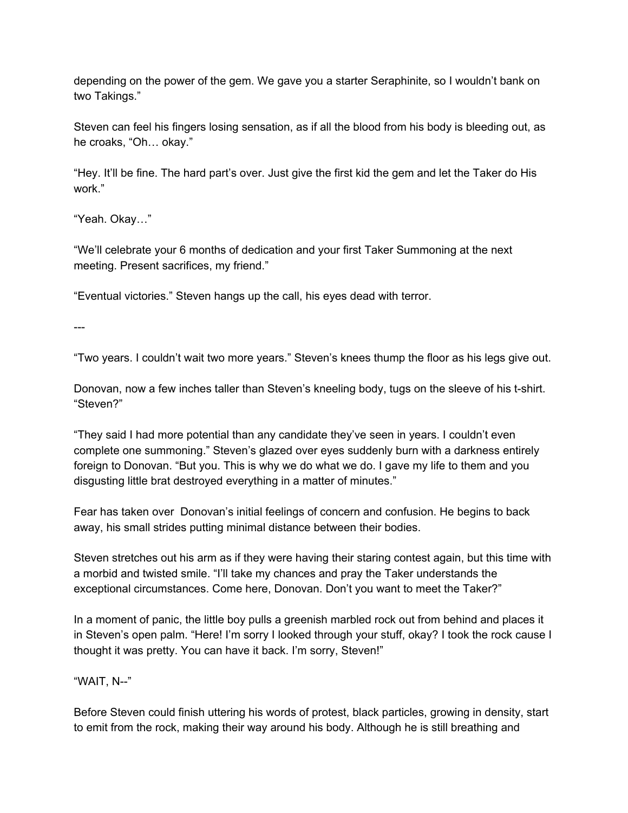depending on the power of the gem. We gave you a starter Seraphinite, so I wouldn't bank on two Takings."

Steven can feel his fingers losing sensation, as if all the blood from his body is bleeding out, as he croaks, "Oh… okay."

"Hey. It'll be fine. The hard part's over. Just give the first kid the gem and let the Taker do His work."

"Yeah. Okay…"

"We'll celebrate your 6 months of dedication and your first Taker Summoning at the next meeting. Present sacrifices, my friend."

"Eventual victories." Steven hangs up the call, his eyes dead with terror.

---

"Two years. I couldn't wait two more years." Steven's knees thump the floor as his legs give out.

Donovan, now a few inches taller than Steven's kneeling body, tugs on the sleeve of his t-shirt. "Steven?"

"They said I had more potential than any candidate they've seen in years. I couldn't even complete one summoning." Steven's glazed over eyes suddenly burn with a darkness entirely foreign to Donovan. "But you. This is why we do what we do. I gave my life to them and you disgusting little brat destroyed everything in a matter of minutes."

Fear has taken over Donovan's initial feelings of concern and confusion. He begins to back away, his small strides putting minimal distance between their bodies.

Steven stretches out his arm as if they were having their staring contest again, but this time with a morbid and twisted smile. "I'll take my chances and pray the Taker understands the exceptional circumstances. Come here, Donovan. Don't you want to meet the Taker?"

In a moment of panic, the little boy pulls a greenish marbled rock out from behind and places it in Steven's open palm. "Here! I'm sorry I looked through your stuff, okay? I took the rock cause I thought it was pretty. You can have it back. I'm sorry, Steven!"

"WAIT, N--"

Before Steven could finish uttering his words of protest, black particles, growing in density, start to emit from the rock, making their way around his body. Although he is still breathing and